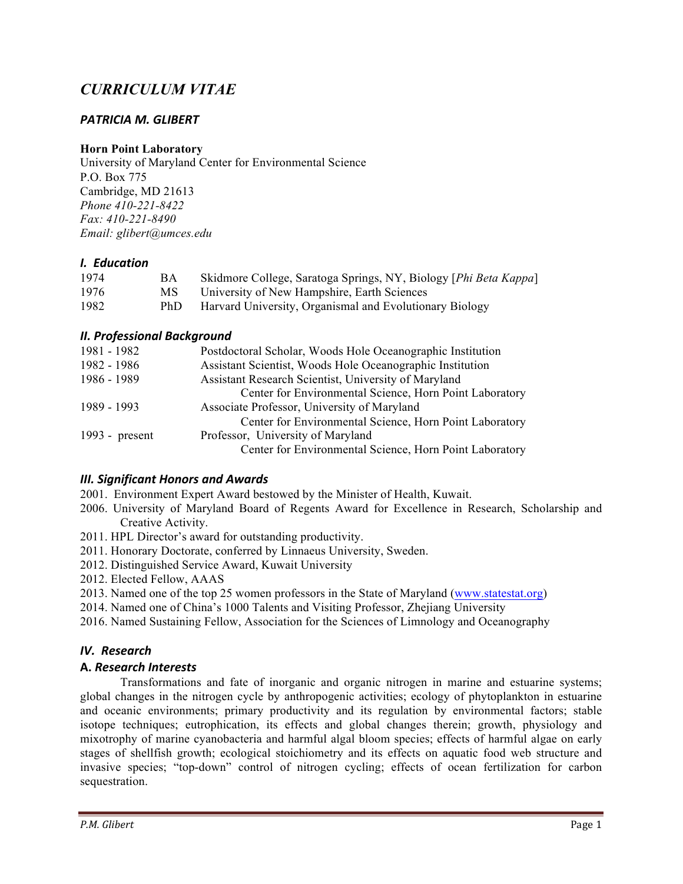# *CURRICULUM VITAE*

# *PATRICIA M. GLIBERT*

#### **Horn Point Laboratory**

University of Maryland Center for Environmental Science P.O. Box 775 Cambridge, MD 21613 *Phone 410-221-8422 Fax: 410-221-8490 Email: glibert@umces.edu*

#### *I. Education*

| 1974 | BА  | Skidmore College, Saratoga Springs, NY, Biology [Phi Beta Kappa] |
|------|-----|------------------------------------------------------------------|
| 1976 | MS. | University of New Hampshire, Earth Sciences                      |
| 1982 | PhD | Harvard University, Organismal and Evolutionary Biology          |

#### *II. Professional Background*

| 1981 - 1982      | Postdoctoral Scholar, Woods Hole Oceanographic Institution |
|------------------|------------------------------------------------------------|
| 1982 - 1986      | Assistant Scientist, Woods Hole Oceanographic Institution  |
| 1986 - 1989      | Assistant Research Scientist, University of Maryland       |
|                  | Center for Environmental Science, Horn Point Laboratory    |
| 1989 - 1993      | Associate Professor, University of Maryland                |
|                  | Center for Environmental Science, Horn Point Laboratory    |
| 1993 - $present$ | Professor, University of Maryland                          |
|                  | Center for Environmental Science, Horn Point Laboratory    |

#### *III. Significant Honors and Awards*

- 2001. Environment Expert Award bestowed by the Minister of Health, Kuwait.
- 2006. University of Maryland Board of Regents Award for Excellence in Research, Scholarship and Creative Activity.
- 2011. HPL Director's award for outstanding productivity.
- 2011. Honorary Doctorate, conferred by Linnaeus University, Sweden.
- 2012. Distinguished Service Award, Kuwait University
- 2012. Elected Fellow, AAAS
- 2013. Named one of the top 25 women professors in the State of Maryland (www.statestat.org)
- 2014. Named one of China's 1000 Talents and Visiting Professor, Zhejiang University
- 2016. Named Sustaining Fellow, Association for the Sciences of Limnology and Oceanography

## *IV. Research*

## **A.** *Research Interests*

Transformations and fate of inorganic and organic nitrogen in marine and estuarine systems; global changes in the nitrogen cycle by anthropogenic activities; ecology of phytoplankton in estuarine and oceanic environments; primary productivity and its regulation by environmental factors; stable isotope techniques; eutrophication, its effects and global changes therein; growth, physiology and mixotrophy of marine cyanobacteria and harmful algal bloom species; effects of harmful algae on early stages of shellfish growth; ecological stoichiometry and its effects on aquatic food web structure and invasive species; "top-down" control of nitrogen cycling; effects of ocean fertilization for carbon sequestration.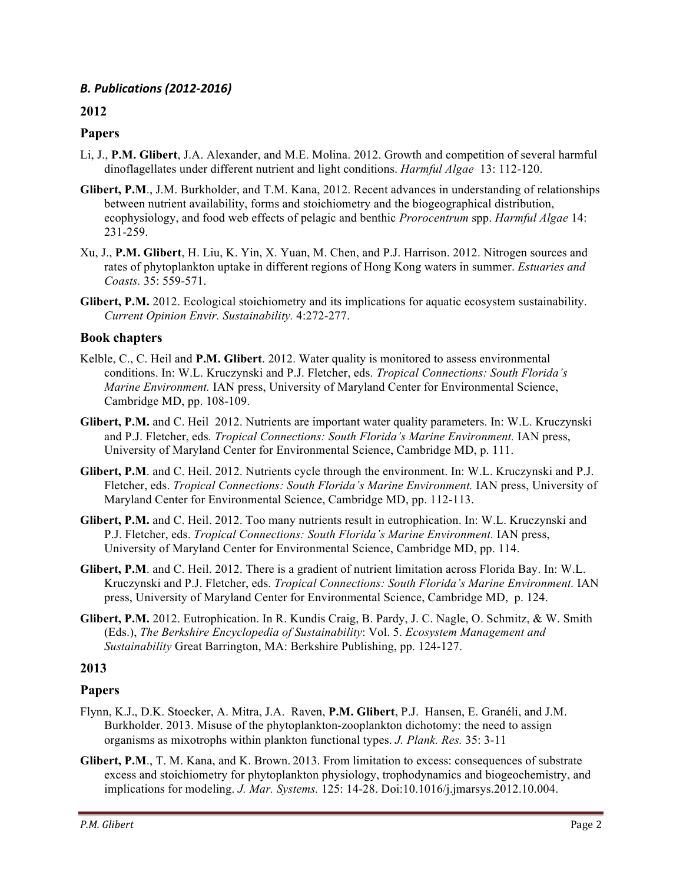# *B. Publications (2012-2016)*

# **2012**

# **Papers**

- Li, J., **P.M. Glibert**, J.A. Alexander, and M.E. Molina. 2012. Growth and competition of several harmful dinoflagellates under different nutrient and light conditions. *Harmful Algae* 13: 112-120.
- **Glibert, P.M**., J.M. Burkholder, and T.M. Kana, 2012. Recent advances in understanding of relationships between nutrient availability, forms and stoichiometry and the biogeographical distribution, ecophysiology, and food web effects of pelagic and benthic *Prorocentrum* spp. *Harmful Algae* 14: 231-259.
- Xu, J., **P.M. Glibert**, H. Liu, K. Yin, X. Yuan, M. Chen, and P.J. Harrison. 2012. Nitrogen sources and rates of phytoplankton uptake in different regions of Hong Kong waters in summer. *Estuaries and Coasts.* 35: 559-571.
- **Glibert, P.M.** 2012. Ecological stoichiometry and its implications for aquatic ecosystem sustainability. *Current Opinion Envir. Sustainability.* 4:272-277.

## **Book chapters**

- Kelble, C., C. Heil and **P.M. Glibert**. 2012. Water quality is monitored to assess environmental conditions. In: W.L. Kruczynski and P.J. Fletcher, eds. *Tropical Connections: South Florida's Marine Environment.* IAN press, University of Maryland Center for Environmental Science, Cambridge MD, pp. 108-109.
- **Glibert, P.M.** and C. Heil 2012. Nutrients are important water quality parameters. In: W.L. Kruczynski and P.J. Fletcher, eds*. Tropical Connections: South Florida's Marine Environment.* IAN press, University of Maryland Center for Environmental Science, Cambridge MD, p. 111.
- **Glibert, P.M**. and C. Heil. 2012. Nutrients cycle through the environment. In: W.L. Kruczynski and P.J. Fletcher, eds. *Tropical Connections: South Florida's Marine Environment.* IAN press, University of Maryland Center for Environmental Science, Cambridge MD, pp. 112-113.
- **Glibert, P.M.** and C. Heil. 2012. Too many nutrients result in eutrophication. In: W.L. Kruczynski and P.J. Fletcher, eds. *Tropical Connections: South Florida's Marine Environment.* IAN press, University of Maryland Center for Environmental Science, Cambridge MD, pp. 114.
- **Glibert, P.M**. and C. Heil. 2012. There is a gradient of nutrient limitation across Florida Bay. In: W.L. Kruczynski and P.J. Fletcher, eds. *Tropical Connections: South Florida's Marine Environment.* IAN press, University of Maryland Center for Environmental Science, Cambridge MD, p. 124.
- **Glibert, P.M.** 2012. Eutrophication. In R. Kundis Craig, B. Pardy, J. C. Nagle, O. Schmitz, & W. Smith (Eds.), *The Berkshire Encyclopedia of Sustainability*: Vol. 5. *Ecosystem Management and Sustainability* Great Barrington, MA: Berkshire Publishing, pp. 124-127.

## **2013**

## **Papers**

- Flynn, K.J., D.K. Stoecker, A. Mitra, J.A. Raven, **P.M. Glibert**, P.J. Hansen, E. Granéli, and J.M. Burkholder. 2013. Misuse of the phytoplankton-zooplankton dichotomy: the need to assign organisms as mixotrophs within plankton functional types. *J. Plank. Res.* 35: 3-11
- **Glibert, P.M**., T. M. Kana, and K. Brown. 2013. From limitation to excess: consequences of substrate excess and stoichiometry for phytoplankton physiology, trophodynamics and biogeochemistry, and implications for modeling. *J. Mar. Systems.* 125: 14-28. Doi:10.1016/j.jmarsys.2012.10.004.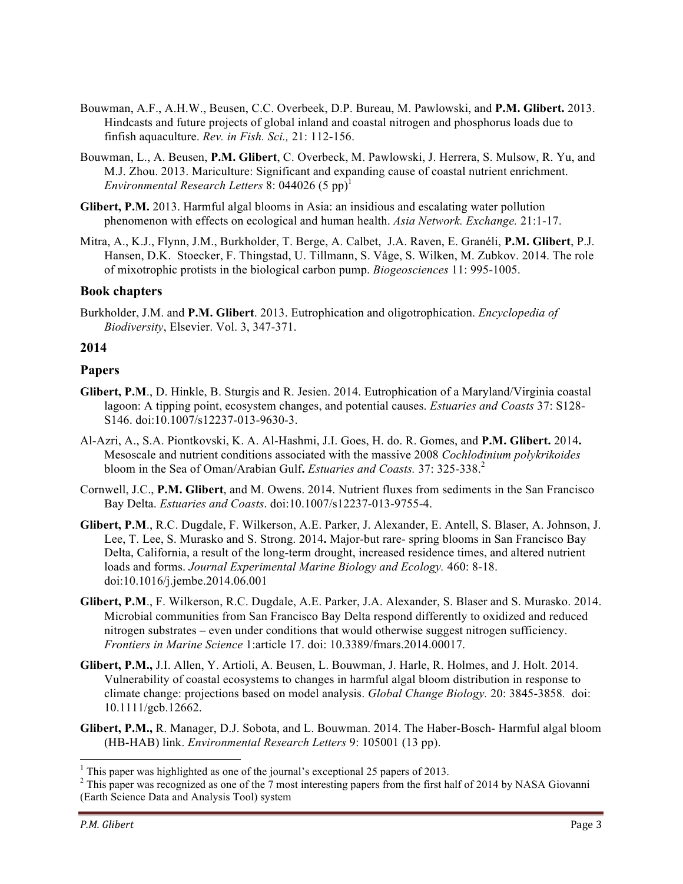- Bouwman, A.F., A.H.W., Beusen, C.C. Overbeek, D.P. Bureau, M. Pawlowski, and **P.M. Glibert.** 2013. Hindcasts and future projects of global inland and coastal nitrogen and phosphorus loads due to finfish aquaculture. *Rev. in Fish. Sci.,* 21: 112-156.
- Bouwman, L., A. Beusen, **P.M. Glibert**, C. Overbeck, M. Pawlowski, J. Herrera, S. Mulsow, R. Yu, and M.J. Zhou. 2013. Mariculture: Significant and expanding cause of coastal nutrient enrichment. *Environmental Research Letters* 8: 044026  $(5 \text{ pp})^1$
- **Glibert, P.M.** 2013. Harmful algal blooms in Asia: an insidious and escalating water pollution phenomenon with effects on ecological and human health. *Asia Network. Exchange.* 21:1-17.
- Mitra, A., K.J., Flynn, J.M., Burkholder, T. Berge, A. Calbet, J.A. Raven, E. Granéli, **P.M. Glibert**, P.J. Hansen, D.K. Stoecker, F. Thingstad, U. Tillmann, S. Våge, S. Wilken, M. Zubkov. 2014. The role of mixotrophic protists in the biological carbon pump. *Biogeosciences* 11: 995-1005.

## **Book chapters**

Burkholder, J.M. and **P.M. Glibert**. 2013. Eutrophication and oligotrophication. *Encyclopedia of Biodiversity*, Elsevier. Vol. 3, 347-371.

#### **2014**

#### **Papers**

- **Glibert, P.M**., D. Hinkle, B. Sturgis and R. Jesien. 2014. Eutrophication of a Maryland/Virginia coastal lagoon: A tipping point, ecosystem changes, and potential causes. *Estuaries and Coasts* 37: S128- S146. doi:10.1007/s12237-013-9630-3.
- Al-Azri, A., S.A. Piontkovski, K. A. Al-Hashmi, J.I. Goes, H. do. R. Gomes, and **P.M. Glibert.** 2014**.**  Mesoscale and nutrient conditions associated with the massive 2008 *Cochlodinium polykrikoides* bloom in the Sea of Oman/Arabian Gulf**.** *Estuaries and Coasts.* 37: 325-338.<sup>2</sup>
- Cornwell, J.C., **P.M. Glibert**, and M. Owens. 2014. Nutrient fluxes from sediments in the San Francisco Bay Delta. *Estuaries and Coasts*. doi:10.1007/s12237-013-9755-4.
- **Glibert, P.M**., R.C. Dugdale, F. Wilkerson, A.E. Parker, J. Alexander, E. Antell, S. Blaser, A. Johnson, J. Lee, T. Lee, S. Murasko and S. Strong. 2014**.** Major-but rare- spring blooms in San Francisco Bay Delta, California, a result of the long-term drought, increased residence times, and altered nutrient loads and forms. *Journal Experimental Marine Biology and Ecology.* 460: 8-18. doi:10.1016/j.jembe.2014.06.001
- **Glibert, P.M**., F. Wilkerson, R.C. Dugdale, A.E. Parker, J.A. Alexander, S. Blaser and S. Murasko. 2014. Microbial communities from San Francisco Bay Delta respond differently to oxidized and reduced nitrogen substrates – even under conditions that would otherwise suggest nitrogen sufficiency. *Frontiers in Marine Science* 1:article 17. doi: 10.3389/fmars.2014.00017.
- **Glibert, P.M.,** J.I. Allen, Y. Artioli, A. Beusen, L. Bouwman, J. Harle, R. Holmes, and J. Holt. 2014. Vulnerability of coastal ecosystems to changes in harmful algal bloom distribution in response to climate change: projections based on model analysis. *Global Change Biology.* 20: 3845-3858*.* doi: 10.1111/gcb.12662.
- **Glibert, P.M.,** R. Manager, D.J. Sobota, and L. Bouwman. 2014. The Haber-Bosch- Harmful algal bloom (HB-HAB) link. *Environmental Research Letters* 9: 105001 (13 pp).

 $1$ <sup>1</sup> This paper was highlighted as one of the journal's exceptional 25 papers of 2013.

<sup>&</sup>lt;sup>2</sup> This paper was recognized as one of the 7 most interesting papers from the first half of 2014 by NASA Giovanni (Earth Science Data and Analysis Tool) system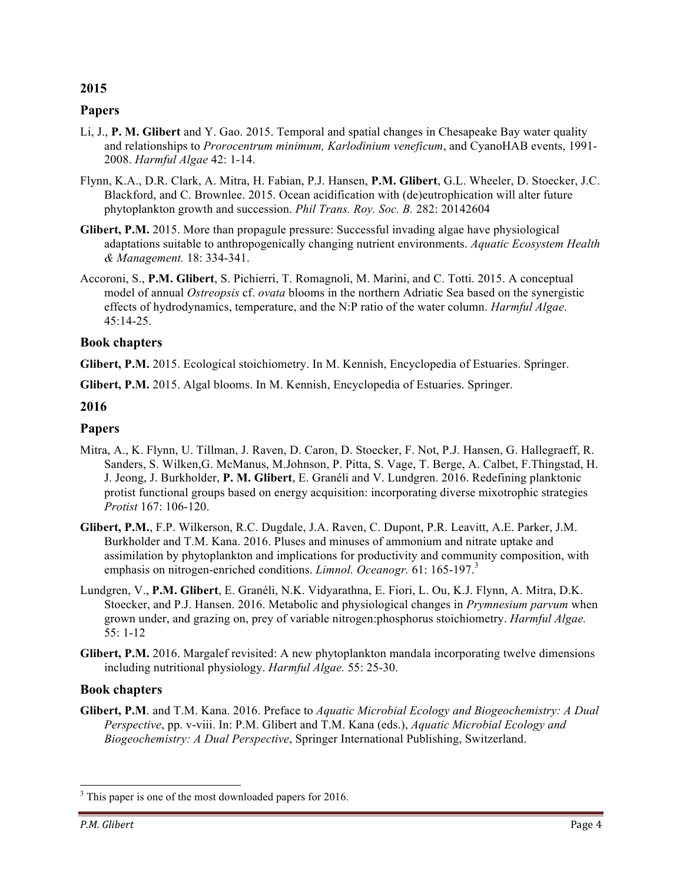## **2015**

## **Papers**

- Li, J., **P. M. Glibert** and Y. Gao. 2015. Temporal and spatial changes in Chesapeake Bay water quality and relationships to *Prorocentrum minimum, Karlodinium veneficum*, and CyanoHAB events, 1991- 2008. *Harmful Algae* 42: 1-14.
- Flynn, K.A., D.R. Clark, A. Mitra, H. Fabian, P.J. Hansen, **P.M. Glibert**, G.L. Wheeler, D. Stoecker, J.C. Blackford, and C. Brownlee. 2015. Ocean acidification with (de)eutrophication will alter future phytoplankton growth and succession. *Phil Trans. Roy. Soc. B.* 282: 20142604
- **Glibert, P.M.** 2015. More than propagule pressure: Successful invading algae have physiological adaptations suitable to anthropogenically changing nutrient environments. *Aquatic Ecosystem Health & Management.* 18: 334-341.
- Accoroni, S., **P.M. Glibert**, S. Pichierri, T. Romagnoli, M. Marini, and C. Totti. 2015. A conceptual model of annual *Ostreopsis* cf. *ovata* blooms in the northern Adriatic Sea based on the synergistic effects of hydrodynamics, temperature, and the N:P ratio of the water column. *Harmful Algae*. 45:14-25.

#### **Book chapters**

- **Glibert, P.M.** 2015. Ecological stoichiometry. In M. Kennish, Encyclopedia of Estuaries. Springer.
- **Glibert, P.M.** 2015. Algal blooms. In M. Kennish, Encyclopedia of Estuaries. Springer.

#### **2016**

#### **Papers**

- Mitra, A., K. Flynn, U. Tillman, J. Raven, D. Caron, D. Stoecker, F. Not, P.J. Hansen, G. Hallegraeff, R. Sanders, S. Wilken,G. McManus, M.Johnson, P. Pitta, S. Vage, T. Berge, A. Calbet, F.Thingstad, H. J. Jeong, J. Burkholder, **P. M. Glibert**, E. Granéli and V. Lundgren. 2016. Redefining planktonic protist functional groups based on energy acquisition: incorporating diverse mixotrophic strategies *Protist* 167: 106-120.
- **Glibert, P.M.**, F.P. Wilkerson, R.C. Dugdale, J.A. Raven, C. Dupont, P.R. Leavitt, A.E. Parker, J.M. Burkholder and T.M. Kana. 2016. Pluses and minuses of ammonium and nitrate uptake and assimilation by phytoplankton and implications for productivity and community composition, with emphasis on nitrogen-enriched conditions. *Limnol. Oceanogr.* 61: 165-197.<sup>3</sup>
- Lundgren, V., **P.M. Glibert**, E. Granéli, N.K. Vidyarathna, E. Fiori, L. Ou, K.J. Flynn, A. Mitra, D.K. Stoecker, and P.J. Hansen. 2016. Metabolic and physiological changes in *Prymnesium parvum* when grown under, and grazing on, prey of variable nitrogen:phosphorus stoichiometry. *Harmful Algae.* 55: 1-12
- **Glibert, P.M.** 2016. Margalef revisited: A new phytoplankton mandala incorporating twelve dimensions including nutritional physiology. *Harmful Algae.* 55: 25-30.

#### **Book chapters**

**Glibert, P.M**. and T.M. Kana. 2016. Preface to *Aquatic Microbial Ecology and Biogeochemistry: A Dual Perspective*, pp. v-viii. In: P.M. Glibert and T.M. Kana (eds.), *Aquatic Microbial Ecology and Biogeochemistry: A Dual Perspective*, Springer International Publishing, Switzerland.

<sup>&</sup>lt;sup>3</sup> This paper is one of the most downloaded papers for 2016.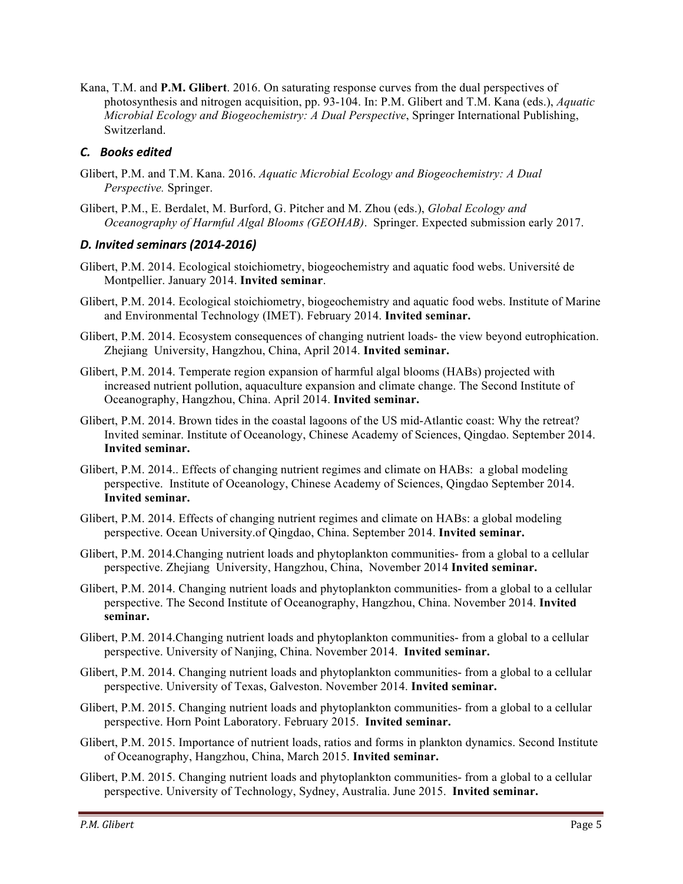Kana, T.M. and **P.M. Glibert**. 2016. On saturating response curves from the dual perspectives of photosynthesis and nitrogen acquisition, pp. 93-104. In: P.M. Glibert and T.M. Kana (eds.), *Aquatic Microbial Ecology and Biogeochemistry: A Dual Perspective*, Springer International Publishing, Switzerland.

## *C. Books edited*

- Glibert, P.M. and T.M. Kana. 2016. *Aquatic Microbial Ecology and Biogeochemistry: A Dual Perspective.* Springer.
- Glibert, P.M., E. Berdalet, M. Burford, G. Pitcher and M. Zhou (eds.), *Global Ecology and Oceanography of Harmful Algal Blooms (GEOHAB)*. Springer. Expected submission early 2017.

# *D. Invited seminars (2014-2016)*

- Glibert, P.M. 2014. Ecological stoichiometry, biogeochemistry and aquatic food webs. Université de Montpellier. January 2014. **Invited seminar**.
- Glibert, P.M. 2014. Ecological stoichiometry, biogeochemistry and aquatic food webs. Institute of Marine and Environmental Technology (IMET). February 2014. **Invited seminar.**
- Glibert, P.M. 2014. Ecosystem consequences of changing nutrient loads- the view beyond eutrophication. Zhejiang University, Hangzhou, China, April 2014. **Invited seminar.**
- Glibert, P.M. 2014. Temperate region expansion of harmful algal blooms (HABs) projected with increased nutrient pollution, aquaculture expansion and climate change. The Second Institute of Oceanography, Hangzhou, China. April 2014. **Invited seminar.**
- Glibert, P.M. 2014. Brown tides in the coastal lagoons of the US mid-Atlantic coast: Why the retreat? Invited seminar. Institute of Oceanology, Chinese Academy of Sciences, Qingdao. September 2014. **Invited seminar.**
- Glibert, P.M. 2014.. Effects of changing nutrient regimes and climate on HABs: a global modeling perspective. Institute of Oceanology, Chinese Academy of Sciences, Qingdao September 2014. **Invited seminar.**
- Glibert, P.M. 2014. Effects of changing nutrient regimes and climate on HABs: a global modeling perspective. Ocean University.of Qingdao, China. September 2014. **Invited seminar.**
- Glibert, P.M. 2014.Changing nutrient loads and phytoplankton communities- from a global to a cellular perspective. Zhejiang University, Hangzhou, China, November 2014 **Invited seminar.**
- Glibert, P.M. 2014. Changing nutrient loads and phytoplankton communities- from a global to a cellular perspective. The Second Institute of Oceanography, Hangzhou, China. November 2014. **Invited seminar.**
- Glibert, P.M. 2014.Changing nutrient loads and phytoplankton communities- from a global to a cellular perspective. University of Nanjing, China. November 2014. **Invited seminar.**
- Glibert, P.M. 2014. Changing nutrient loads and phytoplankton communities- from a global to a cellular perspective. University of Texas, Galveston. November 2014. **Invited seminar.**
- Glibert, P.M. 2015. Changing nutrient loads and phytoplankton communities- from a global to a cellular perspective. Horn Point Laboratory. February 2015. **Invited seminar.**
- Glibert, P.M. 2015. Importance of nutrient loads, ratios and forms in plankton dynamics. Second Institute of Oceanography, Hangzhou, China, March 2015. **Invited seminar.**
- Glibert, P.M. 2015. Changing nutrient loads and phytoplankton communities- from a global to a cellular perspective. University of Technology, Sydney, Australia. June 2015. **Invited seminar.**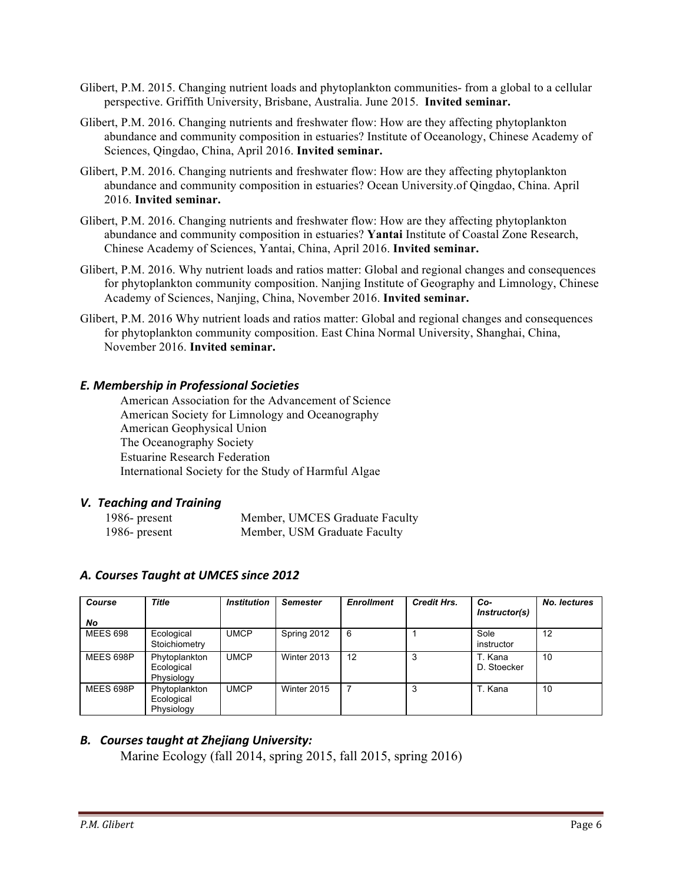- Glibert, P.M. 2015. Changing nutrient loads and phytoplankton communities- from a global to a cellular perspective. Griffith University, Brisbane, Australia. June 2015. **Invited seminar.**
- Glibert, P.M. 2016. Changing nutrients and freshwater flow: How are they affecting phytoplankton abundance and community composition in estuaries? Institute of Oceanology, Chinese Academy of Sciences, Qingdao, China, April 2016. **Invited seminar.**
- Glibert, P.M. 2016. Changing nutrients and freshwater flow: How are they affecting phytoplankton abundance and community composition in estuaries? Ocean University.of Qingdao, China. April 2016. **Invited seminar.**
- Glibert, P.M. 2016. Changing nutrients and freshwater flow: How are they affecting phytoplankton abundance and community composition in estuaries? **Yantai** Institute of Coastal Zone Research, Chinese Academy of Sciences, Yantai, China, April 2016. **Invited seminar.**
- Glibert, P.M. 2016. Why nutrient loads and ratios matter: Global and regional changes and consequences for phytoplankton community composition. Nanjing Institute of Geography and Limnology, Chinese Academy of Sciences, Nanjing, China, November 2016. **Invited seminar.**
- Glibert, P.M. 2016 Why nutrient loads and ratios matter: Global and regional changes and consequences for phytoplankton community composition. East China Normal University, Shanghai, China, November 2016. **Invited seminar.**

# *E. Membership in Professional Societies*

American Association for the Advancement of Science American Society for Limnology and Oceanography American Geophysical Union The Oceanography Society Estuarine Research Federation International Society for the Study of Harmful Algae

## *V. Teaching and Training*

| 1986- present | Member, UMCES Graduate Faculty |
|---------------|--------------------------------|
| 1986- present | Member, USM Graduate Faculty   |

| Course<br>No    | <b>Title</b>                              | <b>Institution</b> | <b>Semester</b> | <b>Enrollment</b> | <b>Credit Hrs.</b> | Co-<br>Instructor(s)   | No. lectures |
|-----------------|-------------------------------------------|--------------------|-----------------|-------------------|--------------------|------------------------|--------------|
| <b>MEES 698</b> | Ecological<br>Stoichiometry               | <b>UMCP</b>        | Spring 2012     | 6                 |                    | Sole<br>instructor     | 12           |
| MEES 698P       | Phytoplankton<br>Ecological<br>Physiology | <b>UMCP</b>        | Winter 2013     | 12                | 3                  | T. Kana<br>D. Stoecker | 10           |
| MEES 698P       | Phytoplankton<br>Ecological<br>Physiology | <b>UMCP</b>        | Winter 2015     |                   | 3                  | T. Kana                | 10           |

## *A. Courses Taught at UMCES since 2012*

## **B.** Courses taught at Zhejiang University:

Marine Ecology (fall 2014, spring 2015, fall 2015, spring 2016)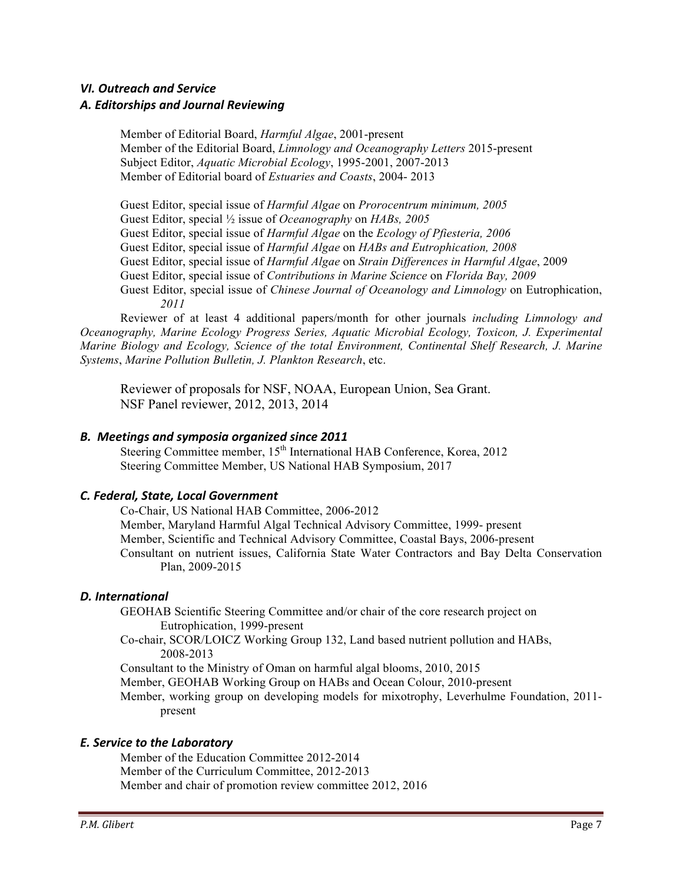# *VI. Outreach and Service A. Editorships and Journal Reviewing*

Member of Editorial Board, *Harmful Algae*, 2001-present Member of the Editorial Board, *Limnology and Oceanography Letters* 2015-present Subject Editor, *Aquatic Microbial Ecology*, 1995-2001, 2007-2013 Member of Editorial board of *Estuaries and Coasts*, 2004- 2013

Guest Editor, special issue of *Harmful Algae* on *Prorocentrum minimum, 2005* Guest Editor, special ½ issue of *Oceanography* on *HABs, 2005* Guest Editor, special issue of *Harmful Algae* on the *Ecology of Pfiesteria, 2006* Guest Editor, special issue of *Harmful Algae* on *HABs and Eutrophication, 2008* Guest Editor, special issue of *Harmful Algae* on *Strain Differences in Harmful Algae*, 2009 Guest Editor, special issue of *Contributions in Marine Science* on *Florida Bay, 2009*  Guest Editor, special issue of *Chinese Journal of Oceanology and Limnology* on Eutrophication, *2011*

Reviewer of at least 4 additional papers/month for other journals *including Limnology and Oceanography, Marine Ecology Progress Series, Aquatic Microbial Ecology, Toxicon, J. Experimental Marine Biology and Ecology, Science of the total Environment, Continental Shelf Research, J. Marine Systems*, *Marine Pollution Bulletin, J. Plankton Research*, etc.

Reviewer of proposals for NSF, NOAA, European Union, Sea Grant. NSF Panel reviewer, 2012, 2013, 2014

## *B. Meetings and symposia organized since 2011*

Steering Committee member, 15<sup>th</sup> International HAB Conference, Korea, 2012 Steering Committee Member, US National HAB Symposium, 2017

## *C. Federal, State, Local Government*

Co-Chair, US National HAB Committee, 2006-2012 Member, Maryland Harmful Algal Technical Advisory Committee, 1999- present Member, Scientific and Technical Advisory Committee, Coastal Bays, 2006-present Consultant on nutrient issues, California State Water Contractors and Bay Delta Conservation Plan, 2009-2015

## *D. International*

GEOHAB Scientific Steering Committee and/or chair of the core research project on Eutrophication, 1999-present

Co-chair, SCOR/LOICZ Working Group 132, Land based nutrient pollution and HABs, 2008-2013

Consultant to the Ministry of Oman on harmful algal blooms, 2010, 2015

Member, GEOHAB Working Group on HABs and Ocean Colour, 2010-present

Member, working group on developing models for mixotrophy, Leverhulme Foundation, 2011 present

## *E. Service to the Laboratory*

Member of the Education Committee 2012-2014 Member of the Curriculum Committee, 2012-2013 Member and chair of promotion review committee 2012, 2016